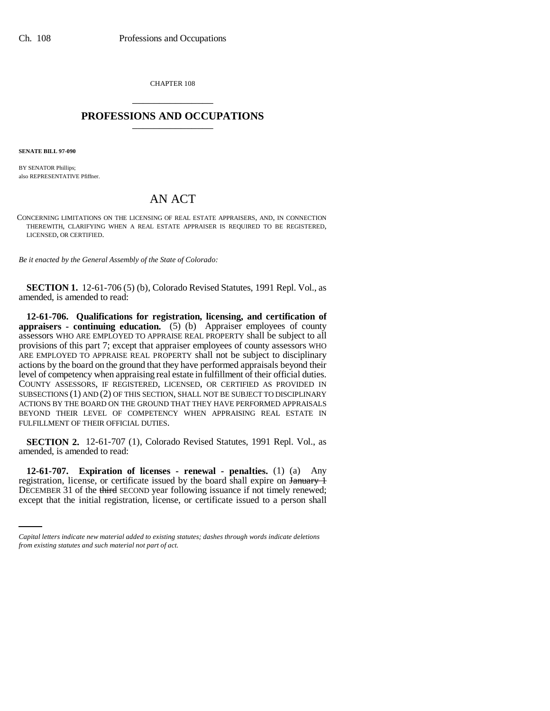CHAPTER 108 \_\_\_\_\_\_\_\_\_\_\_\_\_\_\_

## **PROFESSIONS AND OCCUPATIONS** \_\_\_\_\_\_\_\_\_\_\_\_\_\_\_

**SENATE BILL 97-090**

BY SENATOR Phillips; also REPRESENTATIVE Pfiffner.

## AN ACT

CONCERNING LIMITATIONS ON THE LICENSING OF REAL ESTATE APPRAISERS, AND, IN CONNECTION THEREWITH, CLARIFYING WHEN A REAL ESTATE APPRAISER IS REQUIRED TO BE REGISTERED, LICENSED, OR CERTIFIED.

*Be it enacted by the General Assembly of the State of Colorado:*

**SECTION 1.** 12-61-706 (5) (b), Colorado Revised Statutes, 1991 Repl. Vol., as amended, is amended to read:

**12-61-706. Qualifications for registration, licensing, and certification of appraisers - continuing education.** (5) (b) Appraiser employees of county assessors WHO ARE EMPLOYED TO APPRAISE REAL PROPERTY shall be subject to all provisions of this part 7; except that appraiser employees of county assessors WHO ARE EMPLOYED TO APPRAISE REAL PROPERTY shall not be subject to disciplinary actions by the board on the ground that they have performed appraisals beyond their level of competency when appraising real estate in fulfillment of their official duties. COUNTY ASSESSORS, IF REGISTERED, LICENSED, OR CERTIFIED AS PROVIDED IN SUBSECTIONS (1) AND (2) OF THIS SECTION, SHALL NOT BE SUBJECT TO DISCIPLINARY ACTIONS BY THE BOARD ON THE GROUND THAT THEY HAVE PERFORMED APPRAISALS BEYOND THEIR LEVEL OF COMPETENCY WHEN APPRAISING REAL ESTATE IN FULFILLMENT OF THEIR OFFICIAL DUTIES.

**SECTION 2.** 12-61-707 (1), Colorado Revised Statutes, 1991 Repl. Vol., as amended, is amended to read:

registration, license, or certificate issued by the board shall expire on January 1 **12-61-707. Expiration of licenses - renewal - penalties.** (1) (a) Any DECEMBER 31 of the third SECOND year following issuance if not timely renewed; except that the initial registration, license, or certificate issued to a person shall

*Capital letters indicate new material added to existing statutes; dashes through words indicate deletions from existing statutes and such material not part of act.*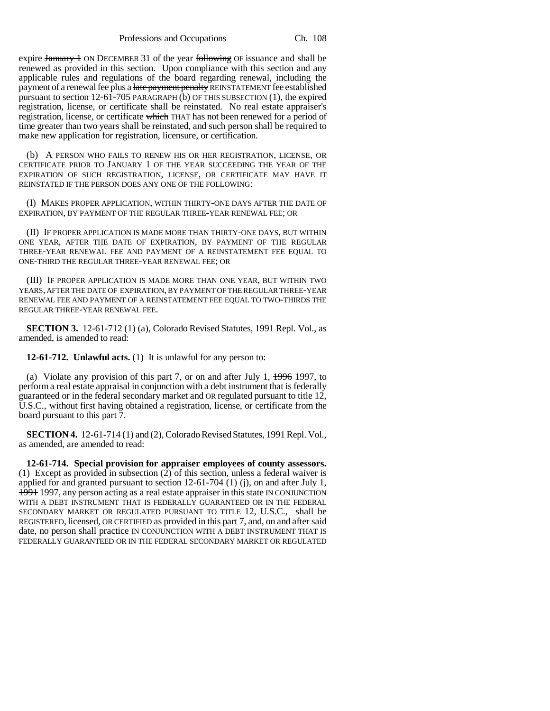Professions and Occupations Ch. 108

expire January 1 ON DECEMBER 31 of the year following OF issuance and shall be renewed as provided in this section. Upon compliance with this section and any applicable rules and regulations of the board regarding renewal, including the payment of a renewal fee plus a late payment penalty REINSTATEMENT fee established pursuant to section  $12-61-705$  PARAGRAPH (b) OF THIS SUBSECTION (1), the expired registration, license, or certificate shall be reinstated. No real estate appraiser's registration, license, or certificate which THAT has not been renewed for a period of time greater than two years shall be reinstated, and such person shall be required to make new application for registration, licensure, or certification.

(b) A PERSON WHO FAILS TO RENEW HIS OR HER REGISTRATION, LICENSE, OR CERTIFICATE PRIOR TO JANUARY 1 OF THE YEAR SUCCEEDING THE YEAR OF THE EXPIRATION OF SUCH REGISTRATION, LICENSE, OR CERTIFICATE MAY HAVE IT REINSTATED IF THE PERSON DOES ANY ONE OF THE FOLLOWING:

(I) MAKES PROPER APPLICATION, WITHIN THIRTY-ONE DAYS AFTER THE DATE OF EXPIRATION, BY PAYMENT OF THE REGULAR THREE-YEAR RENEWAL FEE; OR

(II) IF PROPER APPLICATION IS MADE MORE THAN THIRTY-ONE DAYS, BUT WITHIN ONE YEAR, AFTER THE DATE OF EXPIRATION, BY PAYMENT OF THE REGULAR THREE-YEAR RENEWAL FEE AND PAYMENT OF A REINSTATEMENT FEE EQUAL TO ONE-THIRD THE REGULAR THREE-YEAR RENEWAL FEE; OR

(III) IF PROPER APPLICATION IS MADE MORE THAN ONE YEAR, BUT WITHIN TWO YEARS, AFTER THE DATE OF EXPIRATION, BY PAYMENT OF THE REGULAR THREE-YEAR RENEWAL FEE AND PAYMENT OF A REINSTATEMENT FEE EQUAL TO TWO-THIRDS THE REGULAR THREE-YEAR RENEWAL FEE.

**SECTION 3.** 12-61-712 (1) (a), Colorado Revised Statutes, 1991 Repl. Vol., as amended, is amended to read:

**12-61-712. Unlawful acts.** (1) It is unlawful for any person to:

(a) Violate any provision of this part 7, or on and after July 1,  $\frac{1996}{1997}$ , to perform a real estate appraisal in conjunction with a debt instrument that is federally guaranteed or in the federal secondary market and OR regulated pursuant to title 12, U.S.C., without first having obtained a registration, license, or certificate from the board pursuant to this part 7.

**SECTION 4.** 12-61-714 (1) and (2), Colorado Revised Statutes, 1991 Repl. Vol., as amended, are amended to read:

**12-61-714. Special provision for appraiser employees of county assessors.** (1) Except as provided in subsection (2) of this section, unless a federal waiver is applied for and granted pursuant to section  $12-61-704$  (1) (j), on and after July 1, 1991 1997, any person acting as a real estate appraiser in this state IN CONJUNCTION WITH A DEBT INSTRUMENT THAT IS FEDERALLY GUARANTEED OR IN THE FEDERAL SECONDARY MARKET OR REGULATED PURSUANT TO TITLE 12, U.S.C., shall be REGISTERED, licensed, OR CERTIFIED as provided in this part 7, and, on and after said date, no person shall practice IN CONJUNCTION WITH A DEBT INSTRUMENT THAT IS FEDERALLY GUARANTEED OR IN THE FEDERAL SECONDARY MARKET OR REGULATED